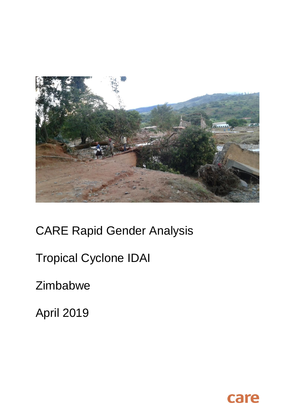

CARE Rapid Gender Analysis

# Tropical Cyclone IDAI

# Zimbabwe

April 2019

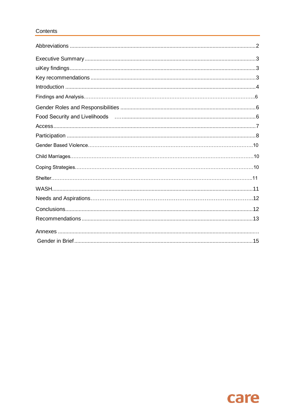# Contents

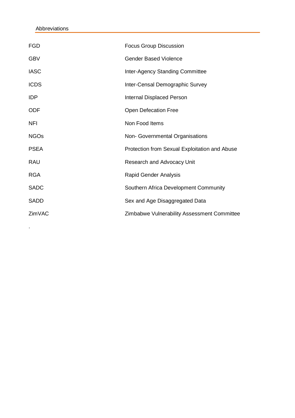.

<span id="page-2-0"></span>

| <b>FGD</b>  | <b>Focus Group Discussion</b>                 |
|-------------|-----------------------------------------------|
| <b>GBV</b>  | <b>Gender Based Violence</b>                  |
| <b>IASC</b> | Inter-Agency Standing Committee               |
| <b>ICDS</b> | Inter-Censal Demographic Survey               |
| <b>IDP</b>  | Internal Displaced Person                     |
| <b>ODF</b>  | <b>Open Defecation Free</b>                   |
| <b>NFI</b>  | Non Food Items                                |
| <b>NGOs</b> | Non- Governmental Organisations               |
| <b>PSEA</b> | Protection from Sexual Exploitation and Abuse |
| <b>RAU</b>  | Research and Advocacy Unit                    |
| <b>RGA</b>  | <b>Rapid Gender Analysis</b>                  |
| <b>SADC</b> | Southern Africa Development Community         |
| <b>SADD</b> | Sex and Age Disaggregated Data                |
| ZimVAC      | Zimbabwe Vulnerability Assessment Committee   |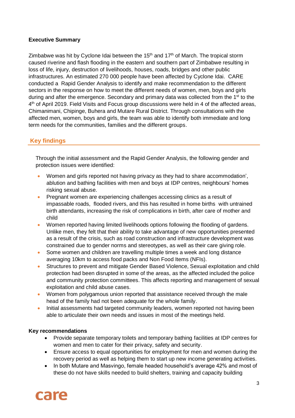# <span id="page-3-0"></span>**Executive Summary**

Zimbabwe was hit by Cyclone Idai between the 15<sup>th</sup> and 17<sup>th</sup> of March. The tropical storm caused riverine and flash flooding in the eastern and southern part of Zimbabwe resulting in loss of life, injury, destruction of livelihoods, houses, roads, bridges and other public infrastructures. An estimated 270 000 people have been affected by Cyclone Idai. CARE conducted a Rapid Gender Analysis to identify and make recommendation to the different sectors in the response on how to meet the different needs of women, men, boys and girls during and after the emergence. Secondary and primary data was collected from the 1<sup>st</sup> to the 4<sup>th</sup> of April 2019. Field Visits and Focus group discussions were held in 4 of the affected areas, Chimanimani, Chipinge, Buhera and Mutare Rural District. Through consultations with the affected men, women, boys and girls, the team was able to identify both immediate and long term needs for the communities, families and the different groups.

# **Key findings**

Through the initial assessment and the Rapid Gender Analysis, the following gender and protection issues were identified:

- Women and girls reported not having privacy as they had to share accommodation', ablution and bathing facilities with men and boys at IDP centres, neighbours' homes risking sexual abuse.
- Pregnant women are experiencing challenges accessing clinics as a result of impassable roads, flooded rivers, and this has resulted in home births with untrained birth attendants, increasing the risk of complications in birth, after care of mother and child
- Women reported having limited livelihoods options following the flooding of gardens. Unlike men, they felt that their ability to take advantage of new opportunities presented as a result of the crisis, such as road construction and infrastructure development was constrained due to gender norms and stereotypes, as well as their care giving role.
- Some women and children are travelling multiple times a week and long distance averaging 10km to access food packs and Non Food Items (NFIs).
- Structures to prevent and mitigate Gender Based Violence, Sexual exploitation and child protection had been disrupted in some of the areas, as the affected included the police and community protection committees. This affects reporting and management of sexual exploitation and child abuse cases.
- Women from polygamous union reported that assistance received through the male head of the family had not been adequate for the whole family.
- Initial assessments had targeted community leaders, women reported not having been able to articulate their own needs and issues in most of the meetings held.

### <span id="page-3-1"></span>**Key recommendations**

- Provide separate temporary toilets and temporary bathing facilities at IDP centres for women and men to cater for their privacy, safety and security.
- Ensure access to equal opportunities for employment for men and women during the recovery period as well as helping them to start up new income generating activities.
- In both Mutare and Masvingo, female headed household's average 42% and most of these do not have skills needed to build shelters, training and capacity building

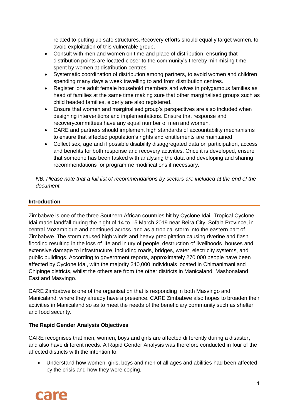related to putting up safe structures.Recovery efforts should equally target women, to avoid exploitation of this vulnerable group.

- Consult with men and women on time and place of distribution, ensuring that distribution points are located closer to the community's thereby minimising time spent by women at distribution centres.
- Systematic coordination of distribution among partners, to avoid women and children spending many days a week travelling to and from distribution centres.
- Register lone adult female household members and wives in polygamous families as head of families at the same time making sure that other marginalised groups such as child headed families, elderly are also registered.
- Ensure that women and marginalised group's perspectives are also included when designing interventions and implementations. Ensure that response and recoverycommittees have any equal number of men and women.
- CARE and partners should implement high standards of accountability mechanisms to ensure that affected population's rights and entitlements are maintained
- Collect sex, age and if possible disability disaggregated data on participation, access and benefits for both response and recovery activities. Once it is developed, ensure that someone has been tasked with analysing the data and developing and sharing recommendations for programme modifications if necessary.

*NB. Please note that a full list of recommendations by sectors are included at the end of the document.*

# <span id="page-4-0"></span>**Introduction**

Zimbabwe is one of the three Southern African countries hit by Cyclone Idai. Tropical Cyclone Idai made landfall during the night of 14 to 15 March 2019 near Beira City, Sofala Province, in central Mozambique and continued across land as a tropical storm into the eastern part of Zimbabwe. The storm caused high winds and heavy precipitation causing riverine and flash flooding resulting in the loss of life and injury of people, destruction of livelihoods, houses and extensive damage to infrastructure, including roads, bridges, water, electricity systems, and public buildings. According to government reports, approximately 270,000 people have been affected by Cyclone Idai, with the majority 240,000 individuals located in Chimanimani and Chipinge districts, whilst the others are from the other districts in Manicaland, Mashonaland East and Masvingo.

CARE Zimbabwe is one of the organisation that is responding in both Masvingo and Manicaland, where they already have a presence. CARE Zimbabwe also hopes to broaden their activities in Manicaland so as to meet the needs of the beneficiary community such as shelter and food security.

### **The Rapid Gender Analysis Objectives**

CARE recognises that men, women, boys and girls are affected differently during a disaster, and also have different needs. A Rapid Gender Analysis was therefore conducted in four of the affected districts with the intention to,

• Understand how women, girls, boys and men of all ages and abilities had been affected by the crisis and how they were coping,

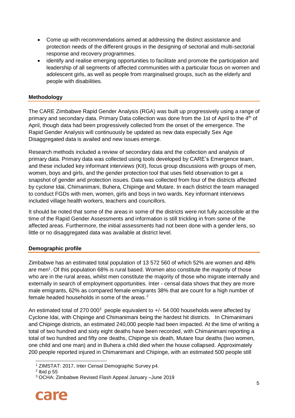- Come up with recommendations aimed at addressing the distinct assistance and protection needs of the different groups in the designing of sectorial and multi-sectorial response and recovery programmes.
- identify and realise emerging opportunities to facilitate and promote the participation and leadership of all segments of affected communities with a particular focus on women and adolescent girls, as well as people from marginalised groups, such as the elderly and people with disabilities.

# **Methodology**

The CARE Zimbabwe Rapid Gender Analysis (RGA) was built up progressively using a range of primary and secondary data. Primary Data collection was done from the 1st of April to the 4<sup>th</sup> of April, though data had been progressively collected from the onset of the emergence. The Rapid Gender Analysis will continuously be updated as new data especially Sex Age Disaggregated data is availed and new issues emerge.

Research methods included a review of secondary data and the collection and analysis of primary data. Primary data was collected using tools developed by CARE's Emergence team, and these included key informant interviews (KII), focus group discussions with groups of men, women, boys and girls, and the gender protection tool that uses field observation to get a snapshot of gender and protection issues. Data was collected from four of the districts affected by cyclone Idai, Chimanimani, Buhera, Chipinge and Mutare. In each district the team managed to conduct FGDs with men, women, girls and boys in two wards. Key informant interviews included village health workers, teachers and councillors.

It should be noted that some of the areas in some of the districts were not fully accessible at the time of the Rapid Gender Assessments and information is still trickling in from some of the affected areas. Furthermore, the initial assessments had not been done with a gender lens, so little or no disaggregated data was available at district level.

### **Demographic profile**

Zimbabwe has an estimated total population of 13 572 560 of which 52% are women and 48% are men<sup>1</sup>. Of this population 68% is rural based. Women also constitute the majority of those who are in the rural areas, whilst men constitute the majority of those who migrate internally and externally in search of employment opportunities. Inter - censal data shows that they are more male emigrants, 62% as compared female emigrants 38% that are count for a high number of female headed households in some of the areas. 2

An estimated total of 270 000<sup>3</sup> people equivalent to  $+/-$  54 000 households were affected by Cyclone Idai, with Chipinge and Chimanimani being the hardest hit districts. In Chimanimani and Chipinge districts, an estimated 240,000 people had been impacted. At the time of writing a total of two hundred and sixty eight deaths have been recorded, with Chimanimani reporting a total of two hundred and fifty one deaths, Chipinge six death, Mutare four deaths (two women, one child and one man) and in Buhera a child died when the house collapsed. Approximately 200 people reported injured in Chimanimani and Chipinge, with an estimated 500 people still

<sup>1</sup> <sup>1</sup> ZIMSTAT: 2017, Inter Censal Demographic Survey p4.

 $<sup>2</sup>$  lbid p 55</sup>

<sup>3</sup> OCHA: Zimbabwe Revised Flash Appeal January –June 2019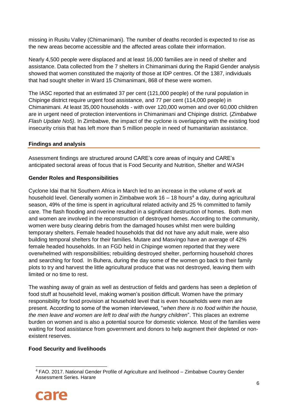missing in Rusitu Valley (Chimanimani). The number of deaths recorded is expected to rise as the new areas become accessible and the affected areas collate their information.

Nearly 4,500 people were displaced and at least 16,000 families are in need of shelter and assistance. Data collected from the 7 shelters in Chimanimani during the Rapid Gender analysis showed that women constituted the majority of those at IDP centres. Of the 1387, individuals that had sought shelter in Ward 15 Chimanimani, 868 of these were women.

The IASC reported that an estimated 37 per cent (121,000 people) of the rural population in Chipinge district require urgent food assistance, and 77 per cent (114,000 people) in Chimanimani. At least 35,000 households - with over 120,000 women and over 60,000 children are in urgent need of protection interventions in Chimanimani and Chipinge district. (*Zimbabwe Flash Update No5).* In Zimbabwe, the impact of the cyclone is overlapping with the existing food insecurity crisis that has left more than 5 million people in need of humanitarian assistance.

### **Findings and analysis**

<span id="page-6-0"></span>Assessment findings are structured around CARE's core areas of inquiry and CARE's anticipated sectoral areas of focus that is Food Security and Nutrition, Shelter and WASH

#### **Gender Roles and Responsibilities**

Cyclone Idai that hit Southern Africa in March led to an increase in the volume of work at household level. Generally women in Zimbabwe work  $16 - 18$  hours<sup>4</sup> a day, during agricultural season, 49% of the time is spent in agricultural related activity and 25 % committed to family care. The flash flooding and riverine resulted in a significant destruction of homes. Both men and women are involved in the reconstruction of destroyed homes. According to the community, women were busy clearing debris from the damaged houses whilst men were building temporary shelters. Female headed households that did not have any adult male, were also building temporal shelters for their families. Mutare and Masvingo have an average of 42% female headed households. In an FGD held in Chipinge women reported that they were overwhelmed with responsibilities; rebuilding destroyed shelter, performing household chores and searching for food. In Buhera, during the day some of the women go back to their family plots to try and harvest the little agricultural produce that was not destroyed, leaving them with limited or no time to rest.

The washing away of grain as well as destruction of fields and gardens has seen a depletion of food stuff at household level, making women's position difficult. Women have the primary responsibility for food provision at household level that is even households were men are present. According to some of the women interviewed, "*when there is no food within the house, the men leave and women are left to deal with the hungry children*". This places an extreme burden on women and is also a potential source for domestic violence. Most of the families were waiting for food assistance from government and donors to help augment their depleted or nonexistent reserves.

### **Food Security and livelihoods**

<sup>-</sup><sup>4</sup> FAO. 2017. National Gender Profile of Agriculture and livelihood – Zimbabwe Country Gender Assessment Series. Harare

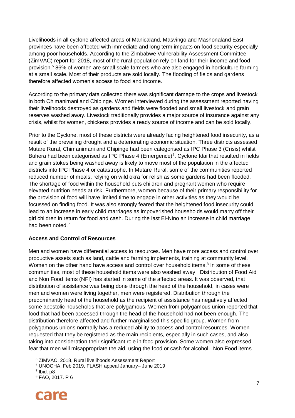Livelihoods in all cyclone affected areas of Manicaland, Masvingo and Mashonaland East provinces have been affected with immediate and long term impacts on food security especially among poor households. According to the Zimbabwe Vulnerability Assessment Committee (ZimVAC) report for 2018, most of the rural population rely on land for their income and food provision.<sup>5</sup> 86% of women are small scale farmers who are also engaged in horticulture farming at a small scale. Most of their products are sold locally. The flooding of fields and gardens therefore affected women's access to food and income.

According to the primary data collected there was significant damage to the crops and livestock in both Chimanimani and Chipinge. Women interviewed during the assessment reported having their livelihoods destroyed as gardens and fields were flooded and small livestock and grain reserves washed away. Livestock traditionally provides a major source of insurance against any crisis, whilst for women, chickens provides a ready source of income and can be sold locally.

Prior to the Cyclone, most of these districts were already facing heightened food insecurity, as a result of the prevailing drought and a deteriorating economic situation. Three districts assessed Mutare Rural, Chimanimani and Chipinge had been categorised as IPC Phase 3 (Crisis) whilst Buhera had been categorised as IPC Phase 4 (Emergence)<sup>6</sup>. Cyclone Idai that resulted in fields and grain stokes being washed away is likely to move most of the population in the affected districts into IPC Phase 4 or catastrophe. In Mutare Rural, some of the communities reported reduced number of meals, relying on wild okra for relish as some gardens had been flooded. The shortage of food within the household puts children and pregnant women who require elevated nutrition needs at risk. Furthermore, women because of their primary responsibility for the provision of food will have limited time to engage in other activities as they would be focussed on finding food. It was also strongly feared that the heightened food insecurity could lead to an increase in early child marriages as impoverished households would marry off their girl children in return for food and cash. During the last El-Nino an increase in child marriage had been noted.<sup>7</sup>

# <span id="page-7-0"></span>**Access and Control of Resources**

Men and women have differential access to resources. Men have more access and control over productive assets such as land, cattle and farming implements, training at community level. Women on the other hand have access and control over household items.<sup>8</sup> In some of these communities, most of these household items were also washed away. Distribution of Food Aid and Non Food items (NFI) has started in some of the affected areas. It was observed, that distribution of assistance was being done through the head of the household, in cases were men and women were living together, men were registered. Distribution through the predominantly head of the household as the recipient of assistance has negatively affected some apostolic households that are polygamous. Women from polygamous union reported that food that had been accessed through the head of the household had not been enough. The distribution therefore affected and further marginalised this specific group. Women from polygamous unions normally has a reduced ability to access and control resources. Women requested that they be registered as the main recipients, especially in such cases, and also taking into consideration their significant role in food provision. Some women also expressed fear that men will misappropriate the aid, using the food or cash for alcohol. Non Food items

1

<sup>8</sup> FAO, 2017. P 6



<sup>5</sup> ZIMVAC. 2018, Rural livelihoods Assessment Report

<sup>6</sup> UNOCHA, Feb 2019, FLASH appeal January– June 2019

 $<sup>7</sup>$  lbid. p8</sup>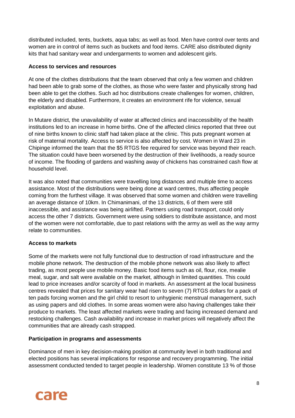distributed included, tents, buckets, aqua tabs; as well as food. Men have control over tents and women are in control of items such as buckets and food items. CARE also distributed dignity kits that had sanitary wear and undergarments to women and adolescent girls.

## **Access to services and resources**

At one of the clothes distributions that the team observed that only a few women and children had been able to grab some of the clothes, as those who were faster and physically strong had been able to get the clothes. Such ad hoc distributions create challenges for women, children, the elderly and disabled. Furthermore, it creates an environment rife for violence, sexual exploitation and abuse.

In Mutare district, the unavailability of water at affected clinics and inaccessibility of the health institutions led to an increase in home births. One of the affected clinics reported that three out of nine births known to clinic staff had taken place at the clinic. This puts pregnant women at risk of maternal mortality. Access to service is also affected by cost. Women in Ward 23 in Chipinge informed the team that the \$5 RTGS fee required for service was beyond their reach. The situation could have been worsened by the destruction of their livelihoods, a ready source of income. The flooding of gardens and washing away of chickens has constrained cash flow at household level.

It was also noted that communities were travelling long distances and multiple time to access assistance. Most of the distributions were being done at ward centres, thus affecting people coming from the furthest village. It was observed that some women and children were travelling an average distance of 10km. In Chimanimani, of the 13 districts, 6 of them were still inaccessible, and assistance was being airlifted. Partners using road transport, could only access the other 7 districts. Government were using soldiers to distribute assistance, and most of the women were not comfortable, due to past relations with the army as well as the way army relate to communities.

# **Access to markets**

Some of the markets were not fully functional due to destruction of road infrastructure and the mobile phone network. The destruction of the mobile phone network was also likely to affect trading, as most people use mobile money. Basic food items such as oil, flour, rice, mealie meal, sugar, and salt were available on the market, although in limited quantities. This could lead to price increases and/or scarcity of food in markets. An assessment at the local business centres revealed that prices for sanitary wear had risen to seven (7) RTGS dollars for a pack of ten pads forcing women and the girl child to resort to unhygienic menstrual management, such as using papers and old clothes. In some areas women were also having challenges take their produce to markets. The least affected markets were trading and facing increased demand and restocking challenges. Cash availability and increase in market prices will negatively affect the communities that are already cash strapped.

### **Participation in programs and assessments**

Dominance of men in key decision-making position at community level in both traditional and elected positions has several implications for response and recovery programming. The initial assessment conducted tended to target people in leadership. Women constitute 13 % of those

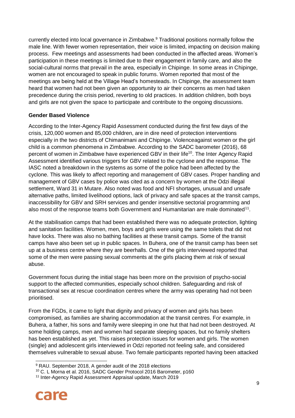currently elected into local governance in Zimbabwe.<sup>9</sup> Traditional positions normally follow the male line. With fewer women representation, their voice is limited, impacting on decision making process. Few meetings and assessments had been conducted in the affected areas. Women's participation in these meetings is limited due to their engagement in family care, and also the social-cultural norms that prevail in the area, especially in Chipinge. In some areas in Chipinge, women are not encouraged to speak in public forums. Women reported that most of the meetings are being held at the Village Head's homesteads. In Chipinge, the assessment team heard that women had not been given an opportunity to air their concerns as men had taken precedence during the crisis period, reverting to old practices. In addition children, both boys and girls are not given the space to participate and contribute to the ongoing discussions.

# **Gender Based Violence**

According to the Inter-Agency Rapid Assessment conducted during the first few days of the crisis, 120,000 women and 85,000 children, are in dire need of protection interventions especially in the two districts of Chimanimani and Chipinge. Violenceagainst women or the girl child is a common phenomena in Zimbabwe. According to the SADC barometer (2016), 68 percent of women in Zimbabwe have experienced GBV in their life<sup>10</sup>. The Inter Agency Rapid Assessment identified various triggers for GBV related to the cyclone and the response. The IASC noted a breakdown in the systems as some of the police had been affected by the cyclone. This was likely to affect reporting and management of GBV cases. Proper handling and management of GBV cases by police was cited as a concern by women at the Odzi illegal settlement, Ward 31 in Mutare. Also noted was food and NFI shortages, unusual and unsafe alternative paths, limited livelihood options, lack of privacy and safe spaces at the transit camps, inaccessibility for GBV and SRH services and gender insensitive sectorial programming and also most of the response teams both Government and Humanitarian are male dominated<sup>11</sup>.

At the stabilisation camps that had been established there was no adequate protection, lighting and sanitation facilities. Women, men, boys and girls were using the same toilets that did not have locks. There was also no bathing facilities at these transit camps. Some of the transit camps have also been set up in public spaces. In Buhera, one of the transit camp has been set up at a business centre where they are beerhalls. One of the girls interviewed reported that some of the men were passing sexual comments at the girls placing them at risk of sexual abuse.

Government focus during the initial stage has been more on the provision of psycho-social support to the affected communities, especially school children. Safeguarding and risk of transactional sex at rescue coordination centres where the army was operating had not been prioritised.

From the FGDs, it came to light that dignity and privacy of women and girls has been compromised, as families are sharing accommodation at the transit centres. For example, in Buhera, a father, his sons and family were sleeping in one hut that had not been destroyed. At some holding camps, men and women had separate sleeping spaces, but no family shelters has been established as yet. This raises protection issues for women and girls. The women (single) and adolescent girls interviewed in Odzi reported not feeling safe, and considered themselves vulnerable to sexual abuse. Two female participants reported having been attacked

<sup>11</sup> Inter-Agency Rapid Assessment Appraisal update, March 2019



<sup>1</sup> <sup>9</sup> RAU. September 2018, A gender audit of the 2018 elections

<sup>10</sup> C. L Morna et al. 2016, SADC Gender Protocol 2016 Barometer, p160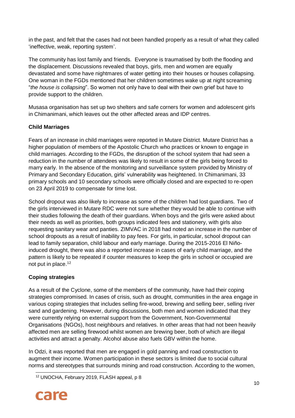in the past, and felt that the cases had not been handled properly as a result of what they called 'ineffective, weak, reporting system'.

The community has lost family and friends. Everyone is traumatised by both the flooding and the displacement. Discussions revealed that boys, girls, men and women are equally devastated and some have nightmares of water getting into their houses or houses collapsing. One woman in the FGDs mentioned that her children sometimes wake up at night screaming "*the house is collapsing*". So women not only have to deal with their own grief but have to provide support to the children.

Musasa organisation has set up two shelters and safe corners for women and adolescent girls in Chimanimani, which leaves out the other affected areas and IDP centres.

# **Child Marriages**

Fears of an increase in child marriages were reported in Mutare District. Mutare District has a higher population of members of the Apostolic Church who practices or known to engage in child marriages. According to the FGDs, the disruption of the school system that had seen a reduction in the number of attendees was likely to result in some of the girls being forced to marry early. In the absence of the monitoring and surveillance system provided by Ministry of Primary and Secondary Education, girls' vulnerability was heightened. In Chimanimani, 33 primary schools and 10 secondary schools were officially closed and are expected to re-open on 23 April 2019 to compensate for time lost.

School dropout was also likely to increase as some of the children had lost guardians. Two of the girls interviewed in Mutare RDC were not sure whether they would be able to continue with their studies following the death of their guardians. When boys and the girls were asked about their needs as well as priorities, both groups indicated fees and stationery, with girls also requesting sanitary wear and panties. ZIMVAC in 2018 had noted an increase in the number of school dropouts as a result of inability to pay fees. For girls, in particular, school dropout can lead to family separation, child labour and early marriage. During the 2015-2016 El Niñoinduced drought, there was also a reported increase in cases of early child marriage, and the pattern is likely to be repeated if counter measures to keep the girls in school or occupied are not put in place.<sup>12</sup>

# **Coping strategies**

As a result of the Cyclone, some of the members of the community, have had their coping strategies compromised. In cases of crisis, such as drought, communities in the area engage in various coping strategies that includes selling fire-wood, brewing and selling beer, selling river sand and gardening. However, during discussions, both men and women indicated that they were currently relying on external support from the Government, Non-Governmental Organisations (NGOs), host neighbours and relatives. In other areas that had not been heavily affected men are selling firewood whilst women are brewing beer, both of which are illegal activities and attract a penalty. Alcohol abuse also fuels GBV within the home.

In Odzi, it was reported that men are engaged in gold panning and road construction to augment their income. Women participation in these sectors is limited due to social cultural norms and stereotypes that surrounds mining and road construction. According to the women,

<sup>12</sup> UNOCHA, February 2019, FLASH appeal, p 8



 $\overline{a}$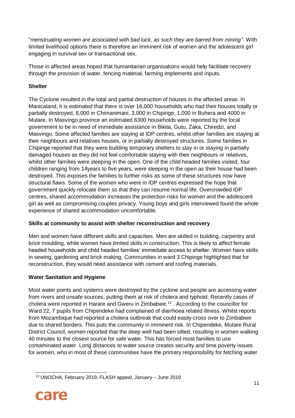"*menstruating women are associated with bad luck, as such they are barred from mining"*. With limited livelihood options there is therefore an imminent risk of women and the adolescent girl engaging in survival sex or transactional sex.

Those in affected areas hoped that humanitarian organisations would help facilitate recovery through the provision of water, fencing material, farming implements and inputs.

# **Shelter**

The Cyclone resulted in the total and partial destruction of houses in the affected areas. In Manicaland, it is estimated that there is over 16,000 households who had their houses totally or partially destroyed, 8,000 in Chimanimani, 3,000 in Chipinge, 1,000 in Buhera and 4000 in Mutare. In Masvingo province an estimated 6300 households were reported by the local government to be in need of immediate assistance in Bikita, Gutu, Zaka, Chiredzi, and Masvingo. Some affected families are staying at IDP centres, whilst other families are staying at their neighbours and relatives houses, or in partially destroyed structures. Some families in Chipinge reported that they were building temporary shelters to stay in or staying in partially damaged houses as they did not feel comfortable staying with their neighbours or relatives, whilst other families were sleeping in the open. One of the child headed families visited, four children ranging from 14years to five years, were sleeping in the open as their house had been destroyed. This exposes the families to further risks as some of these structures now have structural flaws. Some of the women who were in IDP centres expressed the hope that government quickly relocate them so that they can resume normal life. Overcrowded IDP centres, shared accommodation increases the protection risks for women and the adolescent girl as well as compromising couples privacy. Young boys and girls interviewed found the whole experience of shared accommodation uncomfortable.

# **Skills at community to assist with shelter reconstruction and recovery**

Men and women have different skills and capacities. Men are skilled in building, carpentry and brick moulding, while women have limited skills in construction. This is likely to affect female headed households and child headed families' immediate access to shelter. Women have skills in sewing, gardening and brick making. Communities in ward 3 Chipinge highlighted that for reconstruction, they would need assistance with cement and roofing materials.

# **Water Sanitation and Hygiene**

Most water points and systems were destroyed by the cyclone and people are accessing water from rivers and unsafe sources, putting them at risk of cholera and typhoid. Recently cases of cholera were reported in Harare and Gweru in Zimbabwe.<sup>13</sup>. According to the councillor for Ward 22, 7 pupils from Chipendeke had complained of diarrhoea related illness. Whilst reports from Mozambique had reported a cholera outbreak that could easily cross over to Zimbabwe due to shared borders. This puts the community in imminent risk. In Chipendeke, Mutare Rural District Council, women reported that the deep well had been silted, resulting in women walking 40 minutes to the closest source for safe water. This has forced most families to use contaminated water. Long distances to water source creates security and time poverty issues for women, who in most of these communities have the primary responsibility for fetching water

 $\overline{a}$ <sup>13</sup> UNOCHA, February 2019, FLASH appeal, January – June 2019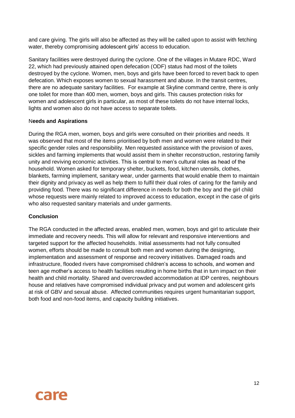and care giving. The girls will also be affected as they will be called upon to assist with fetching water, thereby compromising adolescent girls' access to education.

Sanitary facilities were destroyed during the cyclone. One of the villages in Mutare RDC, Ward 22, which had previously attained open defecation (ODF) status had most of the toilets destroyed by the cyclone. Women, men, boys and girls have been forced to revert back to open defecation. Which exposes women to sexual harassment and abuse. In the transit centres, there are no adequate sanitary facilities. For example at Skyline command centre, there is only one toilet for more than 400 men, women, boys and girls. This causes protection risks for women and adolescent girls in particular, as most of these toilets do not have internal locks, lights and women also do not have access to separate toilets.

### <span id="page-12-0"></span>N**eeds and Aspirations**

During the RGA men, women, boys and girls were consulted on their priorities and needs. It was observed that most of the items prioritised by both men and women were related to their specific gender roles and responsibility. Men requested assistance with the provision of axes, sickles and farming implements that would assist them in shelter reconstruction, restoring family unity and reviving economic activities. This is central to men's cultural roles as head of the household. Women asked for temporary shelter, buckets, food, kitchen utensils, clothes, blankets, farming implement, sanitary wear, under garments that would enable them to maintain their dignity and privacy as well as help them to fulfil their dual roles of caring for the family and providing food. There was no significant difference in needs for both the boy and the girl child whose requests were mainly related to improved access to education, except in the case of girls who also requested sanitary materials and under garments.

# **Conclusion**

The RGA conducted in the affected areas, enabled men, women, boys and girl to articulate their immediate and recovery needs. This will allow for relevant and responsive interventions and targeted support for the affected households. Initial assessments had not fully consulted women, efforts should be made to consult both men and women during the designing, implementation and assessment of response and recovery initiatives. Damaged roads and infrastructure, flooded rivers have compromised children's access to schools, and women and teen age mother's access to health facilities resulting in home births that in turn impact on their health and child mortality. Shared and overcrowded accommodation at IDP centres, neighbours house and relatives have compromised individual privacy and put women and adolescent girls at risk of GBV and sexual abuse. Affected communities requires urgent humanitarian support, both food and non-food items, and capacity building initiatives.

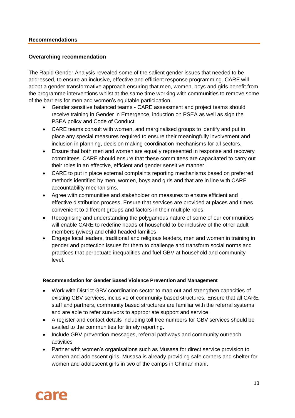#### <span id="page-13-0"></span>**Recommendations**

#### **Overarching recommendation**

The Rapid Gender Analysis revealed some of the salient gender issues that needed to be addressed, to ensure an inclusive, effective and efficient response programming. CARE will adopt a gender transformative approach ensuring that men, women, boys and girls benefit from the programme interventions whilst at the same time working with communities to remove some of the barriers for men and women's equitable participation.

- Gender sensitive balanced teams CARE assessment and project teams should receive training in Gender in Emergence, induction on PSEA as well as sign the PSEA policy and Code of Conduct.
- CARE teams consult with women, and marginalised groups to identify and put in place any special measures required to ensure their meaningfully involvement and inclusion in planning, decision making coordination mechanisms for all sectors.
- Ensure that both men and women are equally represented in response and recovery committees. CARE should ensure that these committees are capacitated to carry out their roles in an effective, efficient and gender sensitive manner.
- CARE to put in place external complaints reporting mechanisms based on preferred methods identified by men, women, boys and girls and that are in line with CARE accountability mechanisms.
- Agree with communities and stakeholder on measures to ensure efficient and effective distribution process. Ensure that services are provided at places and times convenient to different groups and factors in their multiple roles.
- Recognising and understanding the polygamous nature of some of our communities will enable CARE to redefine heads of household to be inclusive of the other adult members (wives) and child headed families
- Engage local leaders, traditional and religious leaders, men and women in training in gender and protection issues for them to challenge and transform social norms and practices that perpetuate inequalities and fuel GBV at household and community level.

#### **Recommendation for Gender Based Violence Prevention and Management**

- Work with District GBV coordination sector to map out and strengthen capacities of existing GBV services, inclusive of community based structures. Ensure that all CARE staff and partners, community based structures are familiar with the referral systems and are able to refer survivors to appropriate support and service.
- A register and contact details including toll free numbers for GBV services should be availed to the communities for timely reporting.
- Include GBV prevention messages, referral pathways and community outreach activities
- Partner with women's organisations such as Musasa for direct service provision to women and adolescent girls. Musasa is already providing safe corners and shelter for women and adolescent girls in two of the camps in Chimanimani.

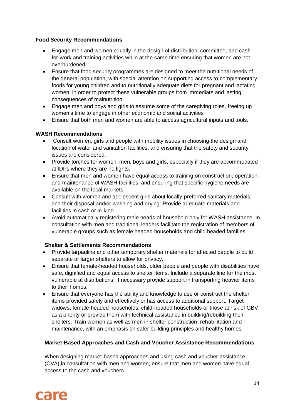# <span id="page-14-0"></span>**Food Security Recommendations**

- Engage men and women equally in the design of distribution, committee, and cashfor-work and training activities while at the same time ensuring that women are not overburdened.
- Ensure that food security programmes are designed to meet the nutritional needs of the general population, with special attention on supporting access to complementary foods for young children and to nutritionally adequate diets for pregnant and lactating women, in order to protect these vulnerable groups from immediate and lasting consequences of malnutrition.
- Engage men and boys and girls to assume some of the caregiving roles, freeing up women's time to engage in other economic and social activities
- Ensure that both men and women are able to access agricultural inputs and tools**.**

# **WASH Recommendations**

- Consult women, girls and people with mobility issues in choosing the design and location of water and sanitation facilities, and ensuring that the safety and security issues are considered.
- Provide torches for women, men, boys and girls, especially if they are accommodated at IDPs where they are no lights.
- Ensure that men and women have equal access to training on construction, operation, and maintenance of WASH facilities, and ensuring that specific hygiene needs are available on the local markets.
- Consult with women and adolescent girls about locally-preferred sanitary materials and their disposal and/or washing and drying. Provide adequate materials and facilities in cash or in-kind.
- Avoid automatically registering male heads of household only for WASH assistance. In consultation with men and traditional leaders facilitate the registration of members of vulnerable groups such as female headed households and child headed families.

# **Shelter & Settlements Recommendations**

- Provide tarpaulins and other temporary shelter materials for affected people to build separate or larger shelters to allow for privacy.
- Ensure that female-headed households, older people and people with disabilities have safe, dignified and equal access to shelter items. Include a separate line for the most vulnerable at distributions. If necessary provide support in transporting heavier items to their homes.
- Ensure that everyone has the ability and knowledge to use or construct the shelter items provided safely and effectively or has access to additional support. Target widows, female-headed households, child-headed households or those at risk of GBV as a priority or provide them with technical assistance in building/rebuilding their shelters. Train women as well as men in shelter construction, rehabilitation and maintenance, with an emphasis on safer building principles and healthy homes.

### **Market-Based Approaches and Cash and Voucher Assistance Recommendations**

When designing market-based approaches and using cash and voucher assistance (CVA),in consultation with men and women, ensure that men and women have equal access to the cash and vouchers

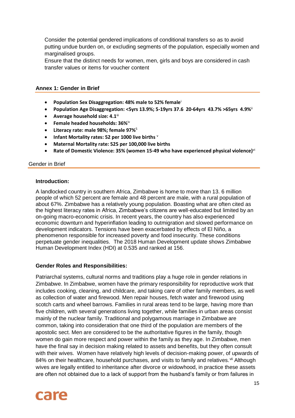Consider the potential gendered implications of conditional transfers so as to avoid putting undue burden on, or excluding segments of the population, especially women and marginalised groups.

Ensure that the distinct needs for women, men, girls and boys are considered in cash transfer values or items for voucher content

#### <span id="page-15-0"></span>**Annex 1: Gender in Brief**

- **Population Sex Disaggregation: 48% male to 52% female**<sup>i</sup>
- **Population Age Disaggregation: <5yrs 13.9%; 5-19yrs 37.6 20-64yrs 43.7% >65yrs 4.9%**ii
- **Average household size: 4.1**iii
- **Female headed households: 36%**iv
- **Literacy rate: male 98%; female 97%**<sup>5</sup>
- **Infant Mortality rates: 52 per 1000 live births** <sup>v</sup>
- **Maternal Mortality rate: 525 per 100,000 live births**
- **Rate of Domestic Violence: 35% (women 15-49 who have experienced physical violence)**vi

#### Gender in Brief

#### **Introduction:**

A landlocked country in southern Africa, Zimbabwe is home to more than 13. 6 million people of which 52 percent are female and 48 percent are male, with a rural population of about 67%. Zimbabwe has a relatively young population. Boasting what are often cited as the highest literacy rates in Africa, Zimbabwe's citizens are well-educated but limited by an on-going macro-economic crisis. In recent years, the country has also experienced economic downturn and hyperinflation leading to outmigration and slowed performance on development indicators. Tensions have been exacerbated by effects of El Niño, a phenomenon responsible for increased poverty and food insecurity. These conditions perpetuate gender inequalities. The 2018 Human Development update shows Zimbabwe Human Development Index (HDI) at 0.535 and ranked at 156.

### **Gender Roles and Responsibilities:**

Patriarchal systems, cultural norms and traditions play a huge role in gender relations in Zimbabwe. In Zimbabwe, women have the primary responsibility for reproductive work that includes cooking, cleaning, and childcare, and taking care of other family members, as well as collection of water and firewood. Men repair houses, fetch water and firewood using scotch carts and wheel barrows. Families in rural areas tend to be large, having more than five children, with several generations living together, while families in urban areas consist mainly of the nuclear family. Traditional and polygamous marriage in Zimbabwe are common, taking into consideration that one third of the population are members of the apostolic sect. Men are considered to be the authoritative figures in the family, though women do gain more respect and power within the family as they age. In Zimbabwe, men have the final say in decision making related to assets and benefits, but they often consult with their wives. Women have relatively high levels of decision-making power, of upwards of 84% on their healthcare, household purchases, and visits to family and relatives. Vii Although wives are legally entitled to inheritance after divorce or widowhood, in practice these assets are often not obtained due to a lack of support from the husband's family or from failures in

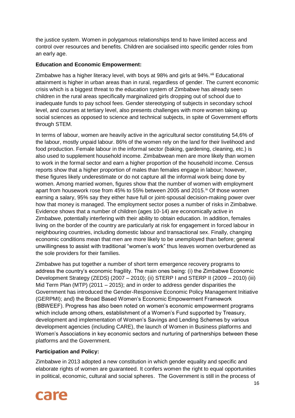the justice system. Women in polygamous relationships tend to have limited access and control over resources and benefits. Children are socialised into specific gender roles from an early age.

# **Education and Economic Empowerment:**

Zimbabwe has a higher literacy level, with boys at 98% and girls at 94%. Vill Educational attainment is higher in urban areas than in rural, regardless of gender. The current economic crisis which is a biggest threat to the education system of Zimbabwe has already seen children in the rural areas specifically marginalized girls dropping out of school due to inadequate funds to pay school fees. Gender stereotyping of subjects in secondary school level, and courses at tertiary level, also presents challenges with more women taking up social sciences as opposed to science and technical subjects, in spite of Government efforts through STEM.

In terms of labour, women are heavily active in the agricultural sector constituting 54,6% of the labour, mostly unpaid labour. 86% of the women rely on the land for their livelihood and food production. Female labour in the informal sector (baking, gardening, cleaning, etc.) is also used to supplement household income. Zimbabwean men are more likely than women to work in the formal sector and earn a higher proportion of the household income. Census reports show that a higher proportion of males than females engage in labour; however, these figures likely underestimate or do not capture all the informal work being done by women. Among married women, figures show that the number of women with employment apart from housework rose from 45% to 55% between 2005 and 2015. ix Of those women earning a salary, 95% say they either have full or joint-spousal decision-making power over how that money is managed. The employment sector poses a number of risks in Zimbabwe. Evidence shows that a number of children (ages 10-14) are economically active in Zimbabwe, potentially interfering with their ability to obtain education. In addition, females living on the border of the country are particularly at risk for engagement in forced labour in neighbouring countries, including domestic labour and transactional sex. Finally, changing economic conditions mean that men are more likely to be unemployed than before; general unwillingness to assist with traditional "women's work" thus leaves women overburdened as the sole providers for their families.

Zimbabwe has put together a number of short term emergence recovery programs to address the country's economic fragility. The main ones being: (i) the Zimbabwe Economic Development Strategy (ZEDS) (2007 – 2010); (ii) STERP I and STERP II (2009 – 2010) (iii) Mid Term Plan (MTP) (2011 – 2015); and in order to address gender disparities the Government has introduced the Gender-Responsive Economic Policy Management Initiative (GERPMI); and) the Broad Based Women's Economic Empowerment Framework (BBWEEF). Progress has also been noted on women's economic empowerment programs which include among others, establishment of a Women's Fund supported by Treasury, development and implementation of Women's Savings and Lending Schemes by various development agencies (including CARE), the launch of Women in Business platforms and Women's Associations in key economic sectors and nurturing of partnerships between these platforms and the Government.

# **Participation and Policy:**

Zimbabwe in 2013 adopted a new constitution in which gender equality and specific and elaborate rights of women are guaranteed. It confers women the right to equal opportunities in political, economic, cultural and social spheres. The Government is still in the process of

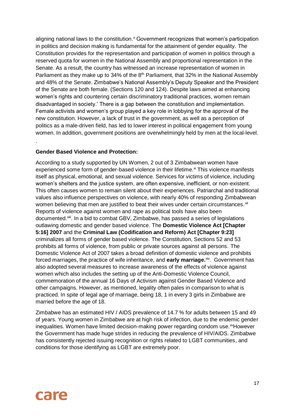aligning national laws to the constitution.<sup>x</sup> Government recognizes that women's participation in politics and decision making is fundamental for the attainment of gender equality. The Constitution provides for the representation and participation of women in politics through a reserved quota for women in the National Assembly and proportional representation in the Senate. As a result, the country has witnessed an increase representation of women in Parliament as they make up to 34% of the 8<sup>th</sup> Parliament, that 32% in the National Assembly and 48% of the Senate. Zimbabwe's National Assembly's Deputy Speaker and the President of the Senate are both female. (Sections 120 and 124). Despite laws aimed at enhancing women's rights and countering certain discriminatory traditional practices, women remain disadvantaged in society.' There is a gap between the constitution and implementation. Female activists and women's group played a key role in lobbying for the approval of the new constitution. However, a lack of trust in the government, as well as a perception of politics as a male-driven field, has led to lower interest in political engagement from young women. In addition, government positions are overwhelmingly held by men at the local-level.

# **Gender Based Violence and Protection:**

.

According to a study supported by UN Women, 2 out of 3 Zimbabwean women have experienced some form of gender-based violence in their lifetime. $x<sup>i</sup>$  This violence manifests itself as physical, emotional, and sexual violence. Services for victims of violence, including women's shelters and the justice system, are often expensive, inefficient, or non-existent. This often causes women to remain silent about their experiences. Patriarchal and traditional values also influence perspectives on violence, with nearly 40% of responding Zimbabwean women believing that men are justified to beat their wives under certain circumstances.<sup>xii</sup> Reports of violence against women and rape as political tools have also been documented.<sup>xiii</sup>. In a bid to combat GBV, Zimbabwe, has passed a series of legislations outlawing domestic and gender based violence. The **Domestic Violence Act [Chapter 5:16] 2007** and the **Criminal Law (Codification and Reform) Act [Chapter 9:23]** criminalizes all forms of gender based violence. The Constitution, Sections 52 and 53 prohibits all forms of violence, from public or private sources against all persons. The Domestic Violence Act of 2007 takes a broad definition of domestic violence and prohibits forced marriages, the practice of wife inheritance, and **early marriage.** Xiv. Government has also adopted several measures to increase awareness of the effects of violence against women which also includes the setting up of the Anti-Domestic Violence Council, commemoration of the annual 16 Days of Activism against Gender Based Violence and other campaigns. However, as mentioned, legality often pales in comparison to what is practiced. In spite of legal age of marriage, being 18, 1 in every 3 girls in Zimbabwe are married before the age of 18.

Zimbabwe has an estimated HIV / AIDS prevalence of 14.7 % for adults between 15 and 49 of years. Young women in Zimbabwe are at high risk of infection, due to the endemic gender inequalities. Women have limited decision-making power regarding condom use.<sup>xv</sup>However the Government has made huge strides in reducing the prevalence of HIV/AIDS. Zimbabwe has consistently rejected issuing recognition or rights related to LGBT communities, and conditions for those identifying as LGBT are extremely poor.